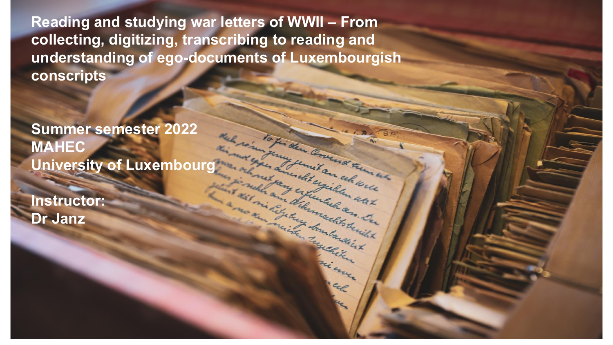**Reading and studying war letters of WWII – From collecting, digitizing, transcribing to reading and understanding of ego-documents of Luxembourgish conscripts** 

a celeman

- uax

egiklar

throught the day le and the

m la dia

**Summer semester 2022 MAHEC University of Luxembourg**

**Instructor: Dr Janz**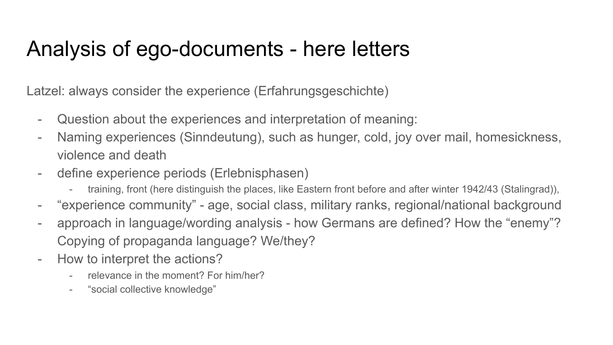# Analysis of ego-documents - here letters

Latzel: always consider the experience (Erfahrungsgeschichte)

- Question about the experiences and interpretation of meaning:
- Naming experiences (Sinndeutung), such as hunger, cold, joy over mail, homesickness, violence and death
- define experience periods (Erlebnisphasen)
	- training, front (here distinguish the places, like Eastern front before and after winter 1942/43 (Stalingrad)),
- "experience community" age, social class, military ranks, regional/national background
- approach in language/wording analysis how Germans are defined? How the "enemy"? Copying of propaganda language? We/they?
- How to interpret the actions?
	- relevance in the moment? For him/her?
	- "social collective knowledge"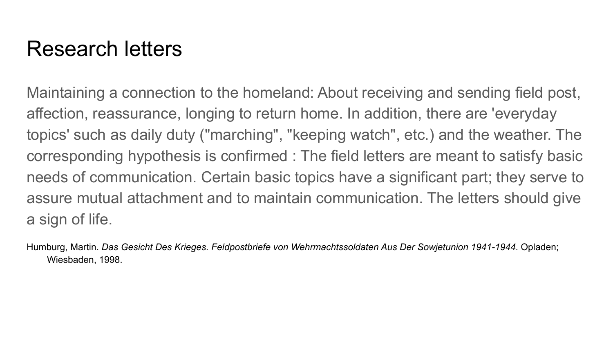# Research letters

Maintaining a connection to the homeland: About receiving and sending field post, affection, reassurance, longing to return home. In addition, there are 'everyday topics' such as daily duty ("marching", "keeping watch", etc.) and the weather. The corresponding hypothesis is confirmed : The field letters are meant to satisfy basic needs of communication. Certain basic topics have a significant part; they serve to assure mutual attachment and to maintain communication. The letters should give a sign of life.

Humburg, Martin. *Das Gesicht Des Krieges. Feldpostbriefe von Wehrmachtssoldaten Aus Der Sowjetunion 1941-1944*. Opladen; Wiesbaden, 1998.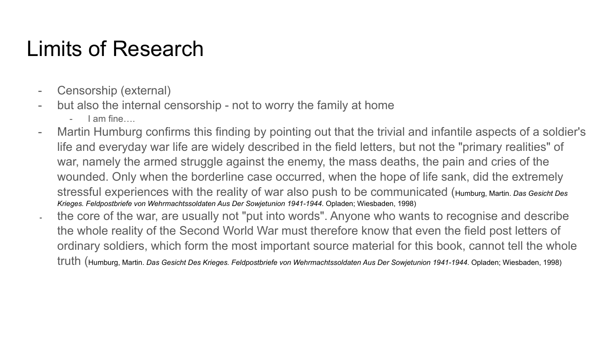# Limits of Research

- Censorship (external)
- but also the internal censorship not to worry the family at home
	- I am fine….
- Martin Humburg confirms this finding by pointing out that the trivial and infantile aspects of a soldier's life and everyday war life are widely described in the field letters, but not the "primary realities" of war, namely the armed struggle against the enemy, the mass deaths, the pain and cries of the wounded. Only when the borderline case occurred, when the hope of life sank, did the extremely stressful experiences with the reality of war also push to be communicated (Humburg, Martin. *Das Gesicht Des Krieges. Feldpostbriefe von Wehrmachtssoldaten Aus Der Sowjetunion 1941-1944*. Opladen; Wiesbaden, 1998)
- the core of the war, are usually not "put into words". Anyone who wants to recognise and describe the whole reality of the Second World War must therefore know that even the field post letters of ordinary soldiers, which form the most important source material for this book, cannot tell the whole truth (Humburg, Martin. *Das Gesicht Des Krieges. Feldpostbriefe von Wehrmachtssoldaten Aus Der Sowjetunion 1941-1944*. Opladen; Wiesbaden, 1998)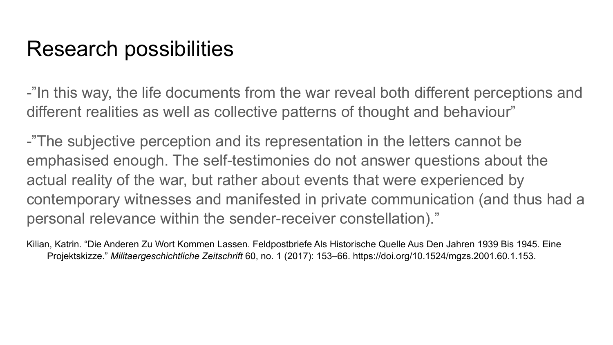# Research possibilities

-"In this way, the life documents from the war reveal both different perceptions and different realities as well as collective patterns of thought and behaviour"

-"The subjective perception and its representation in the letters cannot be emphasised enough. The self-testimonies do not answer questions about the actual reality of the war, but rather about events that were experienced by contemporary witnesses and manifested in private communication (and thus had a personal relevance within the sender-receiver constellation)."

Kilian, Katrin. "Die Anderen Zu Wort Kommen Lassen. Feldpostbriefe Als Historische Quelle Aus Den Jahren 1939 Bis 1945. Eine Projektskizze." *Militaergeschichtliche Zeitschrift* 60, no. 1 (2017): 153–66. https://doi.org/10.1524/mgzs.2001.60.1.153.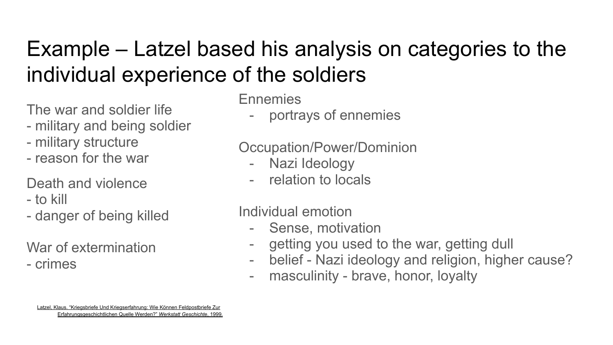# Example – Latzel based his analysis on categories to the individual experience of the soldiers

The war and soldier life

- military and being soldier
- military structure
- reason for the war

Death and violence

- to kill
- danger of being killed

War of extermination

- crimes

Ennemies

- portrays of ennemies

### Occupation/Power/Dominion

- Nazi Ideology
- relation to locals

### Individual emotion

- Sense, motivation
- getting you used to the war, getting dull
- belief Nazi ideology and religion, higher cause?
- masculinity brave, honor, loyalty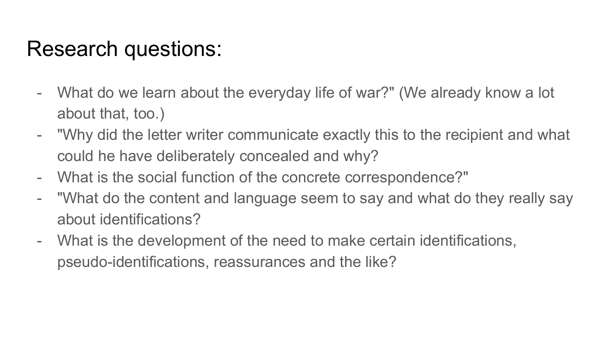# Research questions:

- What do we learn about the everyday life of war?" (We already know a lot about that, too.)
- "Why did the letter writer communicate exactly this to the recipient and what could he have deliberately concealed and why?
- What is the social function of the concrete correspondence?"
- "What do the content and language seem to say and what do they really say about identifications?
- What is the development of the need to make certain identifications, pseudo-identifications, reassurances and the like?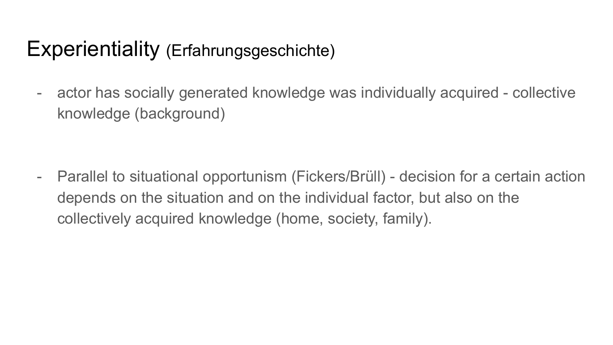# Experientiality (Erfahrungsgeschichte)

- actor has socially generated knowledge was individually acquired - collective knowledge (background)

- Parallel to situational opportunism (Fickers/Brüll) - decision for a certain action depends on the situation and on the individual factor, but also on the collectively acquired knowledge (home, society, family).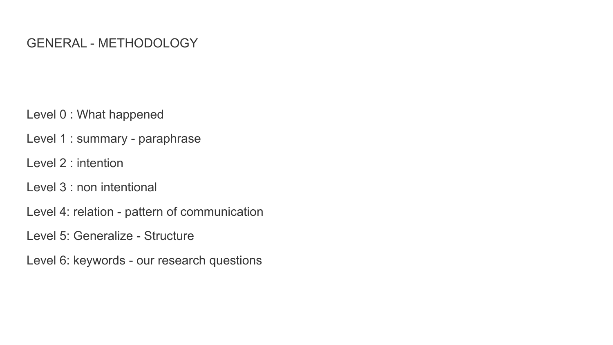#### GENERAL - METHODOLOGY

Level 0 : What happened

Level 1 : summary - paraphrase

Level 2 : intention

Level 3 : non intentional

Level 4: relation - pattern of communication

Level 5: Generalize - Structure

Level 6: keywords - our research questions